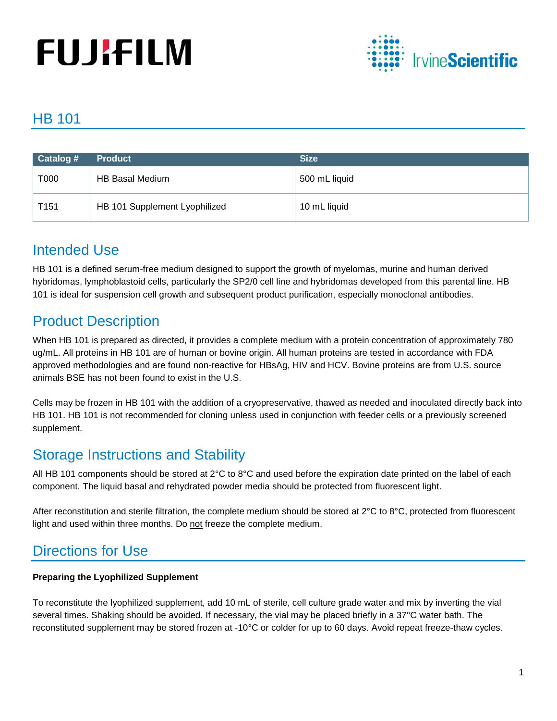# **FUJIFILM**



## HB 101

| Catalog #        | <b>Product</b>                | <b>Size</b>   |
|------------------|-------------------------------|---------------|
| T000             | HB Basal Medium               | 500 mL liquid |
| T <sub>151</sub> | HB 101 Supplement Lyophilized | 10 mL liquid  |

## Intended Use

HB 101 is a defined serum-free medium designed to support the growth of myelomas, murine and human derived hybridomas, lymphoblastoid cells, particularly the SP2/0 cell line and hybridomas developed from this parental line. HB 101 is ideal for suspension cell growth and subsequent product purification, especially monoclonal antibodies.

# Product Description

When HB 101 is prepared as directed, it provides a complete medium with a protein concentration of approximately 780 ug/mL. All proteins in HB 101 are of human or bovine origin. All human proteins are tested in accordance with FDA approved methodologies and are found non-reactive for HBsAg, HIV and HCV. Bovine proteins are from U.S. source animals BSE has not been found to exist in the U.S.

Cells may be frozen in HB 101 with the addition of a cryopreservative, thawed as needed and inoculated directly back into HB 101. HB 101 is not recommended for cloning unless used in conjunction with feeder cells or a previously screened supplement.

## Storage Instructions and Stability

All HB 101 components should be stored at 2°C to 8°C and used before the expiration date printed on the label of each component. The liquid basal and rehydrated powder media should be protected from fluorescent light.

After reconstitution and sterile filtration, the complete medium should be stored at 2°C to 8°C, protected from fluorescent light and used within three months. Do not freeze the complete medium.

## Directions for Use

#### **Preparing the Lyophilized Supplement**

To reconstitute the lyophilized supplement, add 10 mL of sterile, cell culture grade water and mix by inverting the vial several times. Shaking should be avoided. If necessary, the vial may be placed briefly in a 37°C water bath. The reconstituted supplement may be stored frozen at -10°C or colder for up to 60 days. Avoid repeat freeze-thaw cycles.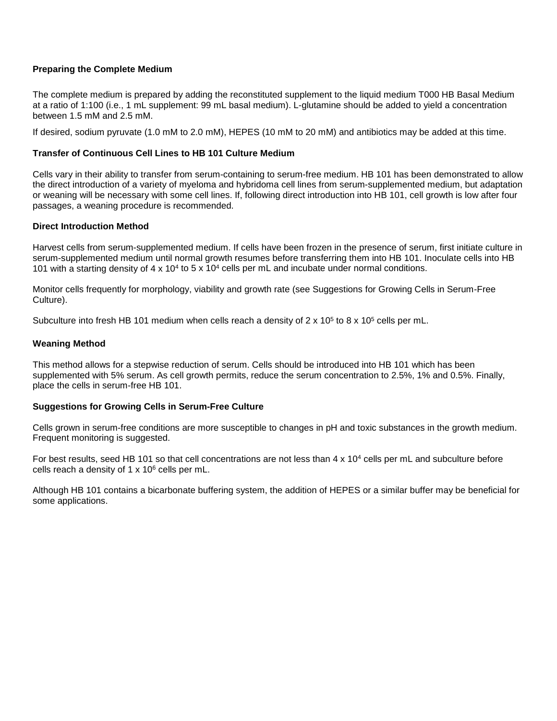#### **Preparing the Complete Medium**

The complete medium is prepared by adding the reconstituted supplement to the liquid medium T000 HB Basal Medium at a ratio of 1:100 (i.e., 1 mL supplement: 99 mL basal medium). L-glutamine should be added to yield a concentration between 1.5 mM and 2.5 mM.

If desired, sodium pyruvate (1.0 mM to 2.0 mM), HEPES (10 mM to 20 mM) and antibiotics may be added at this time.

#### **Transfer of Continuous Cell Lines to HB 101 Culture Medium**

Cells vary in their ability to transfer from serum-containing to serum-free medium. HB 101 has been demonstrated to allow the direct introduction of a variety of myeloma and hybridoma cell lines from serum-supplemented medium, but adaptation or weaning will be necessary with some cell lines. If, following direct introduction into HB 101, cell growth is low after four passages, a weaning procedure is recommended.

#### **Direct Introduction Method**

Harvest cells from serum-supplemented medium. If cells have been frozen in the presence of serum, first initiate culture in serum-supplemented medium until normal growth resumes before transferring them into HB 101. Inoculate cells into HB 101 with a starting density of  $4 \times 10^4$  to  $5 \times 10^4$  cells per mL and incubate under normal conditions.

Monitor cells frequently for morphology, viability and growth rate (see Suggestions for Growing Cells in Serum-Free Culture).

Subculture into fresh HB 101 medium when cells reach a density of  $2 \times 10^5$  to 8 x 10<sup>5</sup> cells per mL.

#### **Weaning Method**

This method allows for a stepwise reduction of serum. Cells should be introduced into HB 101 which has been supplemented with 5% serum. As cell growth permits, reduce the serum concentration to 2.5%, 1% and 0.5%. Finally, place the cells in serum-free HB 101.

#### **Suggestions for Growing Cells in Serum-Free Culture**

Cells grown in serum-free conditions are more susceptible to changes in pH and toxic substances in the growth medium. Frequent monitoring is suggested.

For best results, seed HB 101 so that cell concentrations are not less than  $4 \times 10^4$  cells per mL and subculture before cells reach a density of  $1 \times 10^6$  cells per mL.

Although HB 101 contains a bicarbonate buffering system, the addition of HEPES or a similar buffer may be beneficial for some applications.